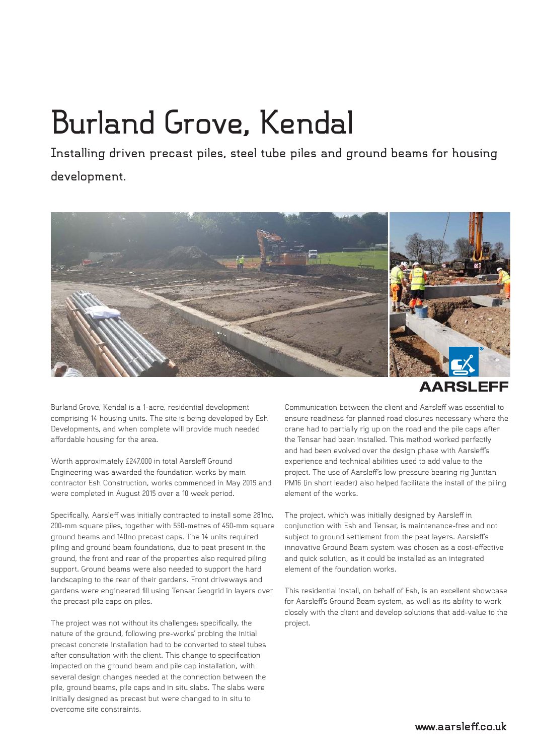# **Burland Grove, Kendal**

**Installing driven precast piles, steel tube piles and ground beams for housing development.**





Burland Grove, Kendal is a 1-acre, residential development comprising 14 housing units. The site is being developed by Esh Developments, and when complete will provide much needed affordable housing for the area.

Worth approximately £247,000 in total Aarsleff Ground Engineering was awarded the foundation works by main contractor Esh Construction, works commenced in May 2015 and were completed in August 2015 over a 10 week period.

Specifically, Aarsleff was initially contracted to install some 281no, 200-mm square piles, together with 550-metres of 450-mm square ground beams and 140no precast caps. The 14 units required piling and ground beam foundations, due to peat present in the ground, the front and rear of the properties also required piling support. Ground beams were also needed to support the hard landscaping to the rear of their gardens. Front driveways and gardens were engineered fill using Tensar Geogrid in layers over the precast pile caps on piles.

The project was not without its challenges; specifically, the nature of the ground, following pre-works' probing the initial precast concrete installation had to be converted to steel tubes after consultation with the client. This change to specification impacted on the ground beam and pile cap installation, with several design changes needed at the connection between the pile, ground beams, pile caps and in situ slabs. The slabs were initially designed as precast but were changed to in situ to overcome site constraints.

Communication between the client and Aarsleff was essential to ensure readiness for planned road closures necessary where the crane had to partially rig up on the road and the pile caps after the Tensar had been installed. This method worked perfectly and had been evolved over the design phase with Aarsleff's experience and technical abilities used to add value to the project. The use of Aarsleff's low pressure bearing rig Junttan PM16 (in short leader) also helped facilitate the install of the piling element of the works.

The project, which was initially designed by Aarsleff in conjunction with Esh and Tensar, is maintenance-free and not subject to ground settlement from the peat layers. Aarsleff's innovative Ground Beam system was chosen as a cost-effective and quick solution, as it could be installed as an integrated element of the foundation works.

This residential install, on behalf of Esh, is an excellent showcase for Aarsleff's Ground Beam system, as well as its ability to work closely with the client and develop solutions that add-value to the project.